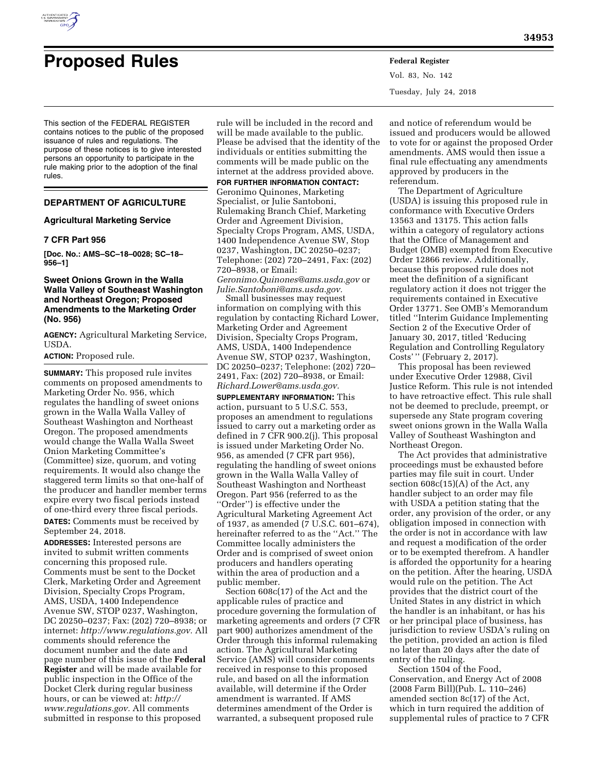

# **Proposed Rules Federal Register**

Vol. 83, No. 142 Tuesday, July 24, 2018

This section of the FEDERAL REGISTER contains notices to the public of the proposed issuance of rules and regulations. The purpose of these notices is to give interested persons an opportunity to participate in the rule making prior to the adoption of the final rules.

# **DEPARTMENT OF AGRICULTURE**

#### **Agricultural Marketing Service**

#### **7 CFR Part 956**

**[Doc. No.: AMS–SC–18–0028; SC–18– 956–1]** 

# **Sweet Onions Grown in the Walla Walla Valley of Southeast Washington and Northeast Oregon; Proposed Amendments to the Marketing Order (No. 956)**

**AGENCY:** Agricultural Marketing Service, USDA.

**ACTION:** Proposed rule.

**SUMMARY:** This proposed rule invites comments on proposed amendments to Marketing Order No. 956, which regulates the handling of sweet onions grown in the Walla Walla Valley of Southeast Washington and Northeast Oregon. The proposed amendments would change the Walla Walla Sweet Onion Marketing Committee's (Committee) size, quorum, and voting requirements. It would also change the staggered term limits so that one-half of the producer and handler member terms expire every two fiscal periods instead of one-third every three fiscal periods.

**DATES:** Comments must be received by September 24, 2018.

**ADDRESSES:** Interested persons are invited to submit written comments concerning this proposed rule. Comments must be sent to the Docket Clerk, Marketing Order and Agreement Division, Specialty Crops Program, AMS, USDA, 1400 Independence Avenue SW, STOP 0237, Washington, DC 20250–0237; Fax: (202) 720–8938; or internet: *[http://www.regulations.gov.](http://www.regulations.gov)* All comments should reference the document number and the date and page number of this issue of the **Federal Register** and will be made available for public inspection in the Office of the Docket Clerk during regular business hours, or can be viewed at: *[http://](http://www.regulations.gov) [www.regulations.gov.](http://www.regulations.gov)* All comments submitted in response to this proposed

rule will be included in the record and will be made available to the public. Please be advised that the identity of the individuals or entities submitting the comments will be made public on the internet at the address provided above.

**FOR FURTHER INFORMATION CONTACT:** 

Geronimo Quinones, Marketing Specialist, or Julie Santoboni, Rulemaking Branch Chief, Marketing Order and Agreement Division, Specialty Crops Program, AMS, USDA, 1400 Independence Avenue SW, Stop 0237, Washington, DC 20250–0237; Telephone: (202) 720–2491, Fax: (202) 720–8938, or Email:

*[Geronimo.Quinones@ams.usda.gov](mailto:Geronimo.Quinones@ams.usda.gov)* or *[Julie.Santoboni@ams.usda.gov.](mailto:Julie.Santoboni@ams.usda.gov)* 

Small businesses may request information on complying with this regulation by contacting Richard Lower, Marketing Order and Agreement Division, Specialty Crops Program, AMS, USDA, 1400 Independence Avenue SW, STOP 0237, Washington, DC 20250–0237; Telephone: (202) 720– 2491, Fax: (202) 720–8938, or Email: *[Richard.Lower@ams.usda.gov.](mailto:Richard.Lower@ams.usda.gov)* 

**SUPPLEMENTARY INFORMATION:** This action, pursuant to 5 U.S.C. 553, proposes an amendment to regulations issued to carry out a marketing order as defined in 7 CFR 900.2(j). This proposal is issued under Marketing Order No. 956, as amended (7 CFR part 956), regulating the handling of sweet onions grown in the Walla Walla Valley of Southeast Washington and Northeast Oregon. Part 956 (referred to as the ''Order'') is effective under the Agricultural Marketing Agreement Act of 1937, as amended (7 U.S.C. 601–674), hereinafter referred to as the ''Act.'' The Committee locally administers the Order and is comprised of sweet onion producers and handlers operating within the area of production and a public member.

Section 608c(17) of the Act and the applicable rules of practice and procedure governing the formulation of marketing agreements and orders (7 CFR part 900) authorizes amendment of the Order through this informal rulemaking action. The Agricultural Marketing Service (AMS) will consider comments received in response to this proposed rule, and based on all the information available, will determine if the Order amendment is warranted. If AMS determines amendment of the Order is warranted, a subsequent proposed rule

and notice of referendum would be issued and producers would be allowed to vote for or against the proposed Order amendments. AMS would then issue a final rule effectuating any amendments approved by producers in the referendum.

The Department of Agriculture (USDA) is issuing this proposed rule in conformance with Executive Orders 13563 and 13175. This action falls within a category of regulatory actions that the Office of Management and Budget (OMB) exempted from Executive Order 12866 review. Additionally, because this proposed rule does not meet the definition of a significant regulatory action it does not trigger the requirements contained in Executive Order 13771. See OMB's Memorandum titled ''Interim Guidance Implementing Section 2 of the Executive Order of January 30, 2017, titled 'Reducing Regulation and Controlling Regulatory Costs' '' (February 2, 2017).

This proposal has been reviewed under Executive Order 12988, Civil Justice Reform. This rule is not intended to have retroactive effect. This rule shall not be deemed to preclude, preempt, or supersede any State program covering sweet onions grown in the Walla Walla Valley of Southeast Washington and Northeast Oregon.

The Act provides that administrative proceedings must be exhausted before parties may file suit in court. Under section 608c(15)(A) of the Act, any handler subject to an order may file with USDA a petition stating that the order, any provision of the order, or any obligation imposed in connection with the order is not in accordance with law and request a modification of the order or to be exempted therefrom. A handler is afforded the opportunity for a hearing on the petition. After the hearing, USDA would rule on the petition. The Act provides that the district court of the United States in any district in which the handler is an inhabitant, or has his or her principal place of business, has jurisdiction to review USDA's ruling on the petition, provided an action is filed no later than 20 days after the date of entry of the ruling.

Section 1504 of the Food, Conservation, and Energy Act of 2008 (2008 Farm Bill)(Pub. L. 110–246) amended section 8c(17) of the Act, which in turn required the addition of supplemental rules of practice to 7 CFR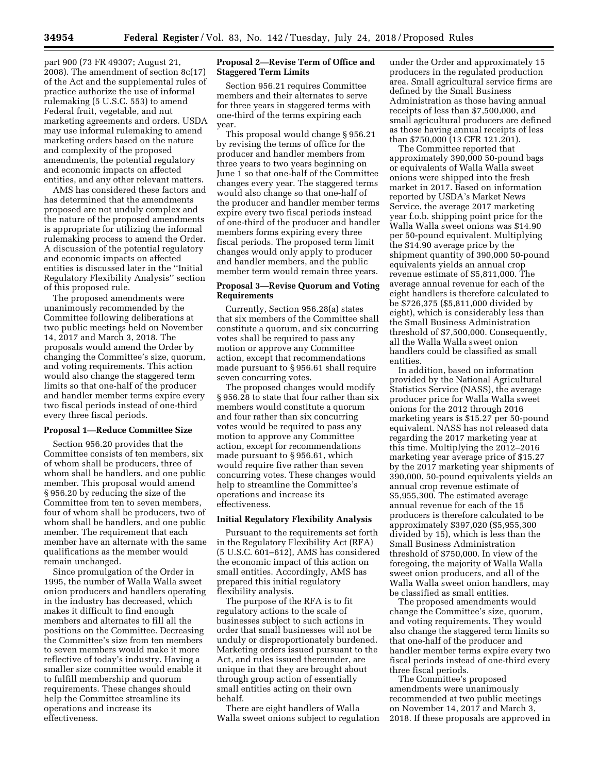part 900 (73 FR 49307; August 21, 2008). The amendment of section 8c(17) of the Act and the supplemental rules of practice authorize the use of informal rulemaking (5 U.S.C. 553) to amend Federal fruit, vegetable, and nut marketing agreements and orders. USDA may use informal rulemaking to amend marketing orders based on the nature and complexity of the proposed amendments, the potential regulatory and economic impacts on affected entities, and any other relevant matters.

AMS has considered these factors and has determined that the amendments proposed are not unduly complex and the nature of the proposed amendments is appropriate for utilizing the informal rulemaking process to amend the Order. A discussion of the potential regulatory and economic impacts on affected entities is discussed later in the ''Initial Regulatory Flexibility Analysis'' section of this proposed rule.

The proposed amendments were unanimously recommended by the Committee following deliberations at two public meetings held on November 14, 2017 and March 3, 2018. The proposals would amend the Order by changing the Committee's size, quorum, and voting requirements. This action would also change the staggered term limits so that one-half of the producer and handler member terms expire every two fiscal periods instead of one-third every three fiscal periods.

#### **Proposal 1—Reduce Committee Size**

Section 956.20 provides that the Committee consists of ten members, six of whom shall be producers, three of whom shall be handlers, and one public member. This proposal would amend § 956.20 by reducing the size of the Committee from ten to seven members, four of whom shall be producers, two of whom shall be handlers, and one public member. The requirement that each member have an alternate with the same qualifications as the member would remain unchanged.

Since promulgation of the Order in 1995, the number of Walla Walla sweet onion producers and handlers operating in the industry has decreased, which makes it difficult to find enough members and alternates to fill all the positions on the Committee. Decreasing the Committee's size from ten members to seven members would make it more reflective of today's industry. Having a smaller size committee would enable it to fulfill membership and quorum requirements. These changes should help the Committee streamline its operations and increase its effectiveness.

# **Proposal 2—Revise Term of Office and Staggered Term Limits**

Section 956.21 requires Committee members and their alternates to serve for three years in staggered terms with one-third of the terms expiring each year.

This proposal would change § 956.21 by revising the terms of office for the producer and handler members from three years to two years beginning on June 1 so that one-half of the Committee changes every year. The staggered terms would also change so that one-half of the producer and handler member terms expire every two fiscal periods instead of one-third of the producer and handler members forms expiring every three fiscal periods. The proposed term limit changes would only apply to producer and handler members, and the public member term would remain three years.

#### **Proposal 3—Revise Quorum and Voting Requirements**

Currently, Section 956.28(a) states that six members of the Committee shall constitute a quorum, and six concurring votes shall be required to pass any motion or approve any Committee action, except that recommendations made pursuant to § 956.61 shall require seven concurring votes.

The proposed changes would modify § 956.28 to state that four rather than six members would constitute a quorum and four rather than six concurring votes would be required to pass any motion to approve any Committee action, except for recommendations made pursuant to § 956.61, which would require five rather than seven concurring votes. These changes would help to streamline the Committee's operations and increase its effectiveness.

#### **Initial Regulatory Flexibility Analysis**

Pursuant to the requirements set forth in the Regulatory Flexibility Act (RFA) (5 U.S.C. 601–612), AMS has considered the economic impact of this action on small entities. Accordingly, AMS has prepared this initial regulatory flexibility analysis.

The purpose of the RFA is to fit regulatory actions to the scale of businesses subject to such actions in order that small businesses will not be unduly or disproportionately burdened. Marketing orders issued pursuant to the Act, and rules issued thereunder, are unique in that they are brought about through group action of essentially small entities acting on their own behalf.

There are eight handlers of Walla Walla sweet onions subject to regulation

under the Order and approximately 15 producers in the regulated production area. Small agricultural service firms are defined by the Small Business Administration as those having annual receipts of less than \$7,500,000, and small agricultural producers are defined as those having annual receipts of less than \$750,000 (13 CFR 121.201).

The Committee reported that approximately 390,000 50-pound bags or equivalents of Walla Walla sweet onions were shipped into the fresh market in 2017. Based on information reported by USDA's Market News Service, the average 2017 marketing year f.o.b. shipping point price for the Walla Walla sweet onions was \$14.90 per 50-pound equivalent. Multiplying the \$14.90 average price by the shipment quantity of 390,000 50-pound equivalents yields an annual crop revenue estimate of \$5,811,000. The average annual revenue for each of the eight handlers is therefore calculated to be \$726,375 (\$5,811,000 divided by eight), which is considerably less than the Small Business Administration threshold of \$7,500,000. Consequently, all the Walla Walla sweet onion handlers could be classified as small entities.

In addition, based on information provided by the National Agricultural Statistics Service (NASS), the average producer price for Walla Walla sweet onions for the 2012 through 2016 marketing years is \$15.27 per 50-pound equivalent. NASS has not released data regarding the 2017 marketing year at this time. Multiplying the 2012–2016 marketing year average price of \$15.27 by the 2017 marketing year shipments of 390,000, 50-pound equivalents yields an annual crop revenue estimate of \$5,955,300. The estimated average annual revenue for each of the 15 producers is therefore calculated to be approximately \$397,020 (\$5,955,300 divided by 15), which is less than the Small Business Administration threshold of \$750,000. In view of the foregoing, the majority of Walla Walla sweet onion producers, and all of the Walla Walla sweet onion handlers, may be classified as small entities.

The proposed amendments would change the Committee's size, quorum, and voting requirements. They would also change the staggered term limits so that one-half of the producer and handler member terms expire every two fiscal periods instead of one-third every three fiscal periods.

The Committee's proposed amendments were unanimously recommended at two public meetings on November 14, 2017 and March 3, 2018. If these proposals are approved in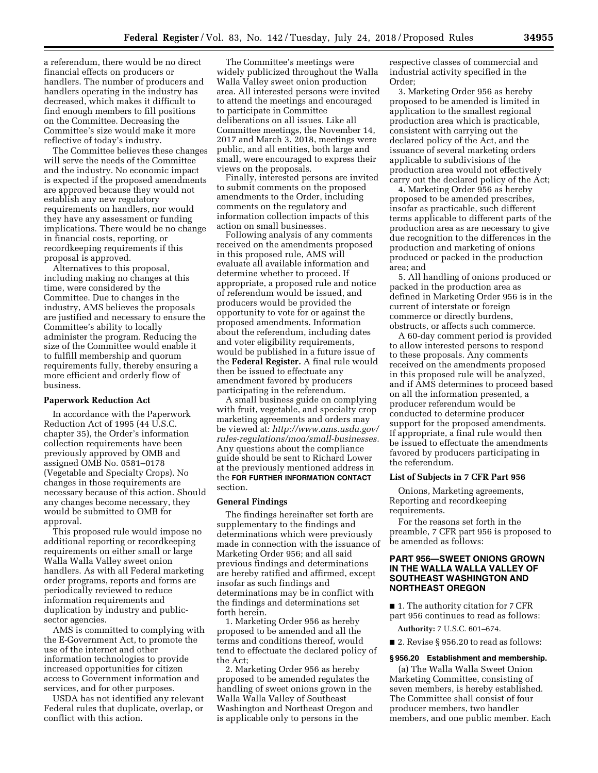a referendum, there would be no direct financial effects on producers or handlers. The number of producers and handlers operating in the industry has decreased, which makes it difficult to find enough members to fill positions on the Committee. Decreasing the Committee's size would make it more reflective of today's industry.

The Committee believes these changes will serve the needs of the Committee and the industry. No economic impact is expected if the proposed amendments are approved because they would not establish any new regulatory requirements on handlers, nor would they have any assessment or funding implications. There would be no change in financial costs, reporting, or recordkeeping requirements if this proposal is approved.

Alternatives to this proposal, including making no changes at this time, were considered by the Committee. Due to changes in the industry, AMS believes the proposals are justified and necessary to ensure the Committee's ability to locally administer the program. Reducing the size of the Committee would enable it to fulfill membership and quorum requirements fully, thereby ensuring a more efficient and orderly flow of business.

#### **Paperwork Reduction Act**

In accordance with the Paperwork Reduction Act of 1995 (44 U.S.C. chapter 35), the Order's information collection requirements have been previously approved by OMB and assigned OMB No. 0581–0178 (Vegetable and Specialty Crops). No changes in those requirements are necessary because of this action. Should any changes become necessary, they would be submitted to OMB for approval.

This proposed rule would impose no additional reporting or recordkeeping requirements on either small or large Walla Walla Valley sweet onion handlers. As with all Federal marketing order programs, reports and forms are periodically reviewed to reduce information requirements and duplication by industry and publicsector agencies.

AMS is committed to complying with the E-Government Act, to promote the use of the internet and other information technologies to provide increased opportunities for citizen access to Government information and services, and for other purposes.

USDA has not identified any relevant Federal rules that duplicate, overlap, or conflict with this action.

The Committee's meetings were widely publicized throughout the Walla Walla Valley sweet onion production area. All interested persons were invited to attend the meetings and encouraged to participate in Committee deliberations on all issues. Like all Committee meetings, the November 14, 2017 and March 3, 2018, meetings were public, and all entities, both large and small, were encouraged to express their views on the proposals.

Finally, interested persons are invited to submit comments on the proposed amendments to the Order, including comments on the regulatory and information collection impacts of this action on small businesses.

Following analysis of any comments received on the amendments proposed in this proposed rule, AMS will evaluate all available information and determine whether to proceed. If appropriate, a proposed rule and notice of referendum would be issued, and producers would be provided the opportunity to vote for or against the proposed amendments. Information about the referendum, including dates and voter eligibility requirements, would be published in a future issue of the **Federal Register.** A final rule would then be issued to effectuate any amendment favored by producers participating in the referendum.

A small business guide on complying with fruit, vegetable, and specialty crop marketing agreements and orders may be viewed at: *[http://www.ams.usda.gov/](http://www.ams.usda.gov/rules-regulations/moa/small-businesses) [rules-regulations/moa/small-businesses.](http://www.ams.usda.gov/rules-regulations/moa/small-businesses)*  Any questions about the compliance guide should be sent to Richard Lower at the previously mentioned address in the **FOR FURTHER INFORMATION CONTACT** section.

#### **General Findings**

The findings hereinafter set forth are supplementary to the findings and determinations which were previously made in connection with the issuance of Marketing Order 956; and all said previous findings and determinations are hereby ratified and affirmed, except insofar as such findings and determinations may be in conflict with the findings and determinations set forth herein.

1. Marketing Order 956 as hereby proposed to be amended and all the terms and conditions thereof, would tend to effectuate the declared policy of the Act;

2. Marketing Order 956 as hereby proposed to be amended regulates the handling of sweet onions grown in the Walla Walla Valley of Southeast Washington and Northeast Oregon and is applicable only to persons in the

respective classes of commercial and industrial activity specified in the Order;

3. Marketing Order 956 as hereby proposed to be amended is limited in application to the smallest regional production area which is practicable, consistent with carrying out the declared policy of the Act, and the issuance of several marketing orders applicable to subdivisions of the production area would not effectively carry out the declared policy of the Act;

4. Marketing Order 956 as hereby proposed to be amended prescribes, insofar as practicable, such different terms applicable to different parts of the production area as are necessary to give due recognition to the differences in the production and marketing of onions produced or packed in the production area; and

5. All handling of onions produced or packed in the production area as defined in Marketing Order 956 is in the current of interstate or foreign commerce or directly burdens, obstructs, or affects such commerce.

A 60-day comment period is provided to allow interested persons to respond to these proposals. Any comments received on the amendments proposed in this proposed rule will be analyzed, and if AMS determines to proceed based on all the information presented, a producer referendum would be conducted to determine producer support for the proposed amendments. If appropriate, a final rule would then be issued to effectuate the amendments favored by producers participating in the referendum.

# **List of Subjects in 7 CFR Part 956**

Onions, Marketing agreements, Reporting and recordkeeping requirements.

For the reasons set forth in the preamble, 7 CFR part 956 is proposed to be amended as follows:

# **PART 956—SWEET ONIONS GROWN IN THE WALLA WALLA VALLEY OF SOUTHEAST WASHINGTON AND NORTHEAST OREGON**

■ 1. The authority citation for 7 CFR part 956 continues to read as follows:

**Authority:** 7 U.S.C. 601–674.

■ 2. Revise § 956.20 to read as follows:

# **§ 956.20 Establishment and membership.**

(a) The Walla Walla Sweet Onion Marketing Committee, consisting of seven members, is hereby established. The Committee shall consist of four producer members, two handler members, and one public member. Each